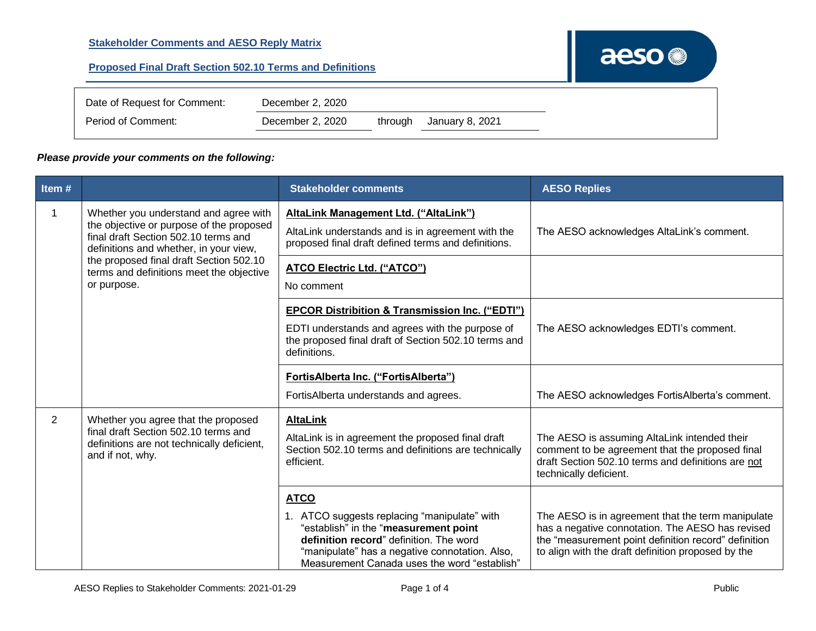| Date of Request for Comment: | December 2, 2020 |         |                 |
|------------------------------|------------------|---------|-----------------|
| Period of Comment:           | December 2, 2020 | through | January 8, 2021 |

## *Please provide your comments on the following:*

| Item#          |                                                                                                                                                                                                                                                                           | <b>Stakeholder comments</b>                                                                                                                                                                                                                       | <b>AESO Replies</b>                                                                                                                                                                                                 |
|----------------|---------------------------------------------------------------------------------------------------------------------------------------------------------------------------------------------------------------------------------------------------------------------------|---------------------------------------------------------------------------------------------------------------------------------------------------------------------------------------------------------------------------------------------------|---------------------------------------------------------------------------------------------------------------------------------------------------------------------------------------------------------------------|
| $\mathbf 1$    | Whether you understand and agree with<br>the objective or purpose of the proposed<br>final draft Section 502.10 terms and<br>definitions and whether, in your view,<br>the proposed final draft Section 502.10<br>terms and definitions meet the objective<br>or purpose. | AltaLink Management Ltd. ("AltaLink")<br>AltaLink understands and is in agreement with the<br>proposed final draft defined terms and definitions.                                                                                                 | The AESO acknowledges AltaLink's comment.                                                                                                                                                                           |
|                |                                                                                                                                                                                                                                                                           | <b>ATCO Electric Ltd. ("ATCO")</b><br>No comment                                                                                                                                                                                                  |                                                                                                                                                                                                                     |
|                |                                                                                                                                                                                                                                                                           | <b>EPCOR Distribition &amp; Transmission Inc. ("EDTI")</b><br>EDTI understands and agrees with the purpose of<br>the proposed final draft of Section 502.10 terms and<br>definitions.                                                             | The AESO acknowledges EDTI's comment.                                                                                                                                                                               |
|                |                                                                                                                                                                                                                                                                           | FortisAlberta Inc. ("FortisAlberta")<br>FortisAlberta understands and agrees.                                                                                                                                                                     | The AESO acknowledges FortisAlberta's comment.                                                                                                                                                                      |
| $\overline{2}$ | Whether you agree that the proposed<br>final draft Section 502.10 terms and<br>definitions are not technically deficient,<br>and if not, why.                                                                                                                             | <b>AltaLink</b><br>AltaLink is in agreement the proposed final draft<br>Section 502.10 terms and definitions are technically<br>efficient.                                                                                                        | The AESO is assuming AltaLink intended their<br>comment to be agreement that the proposed final<br>draft Section 502.10 terms and definitions are not<br>technically deficient.                                     |
|                |                                                                                                                                                                                                                                                                           | <b>ATCO</b><br>1. ATCO suggests replacing "manipulate" with<br>"establish" in the "measurement point<br>definition record" definition. The word<br>"manipulate" has a negative connotation. Also,<br>Measurement Canada uses the word "establish" | The AESO is in agreement that the term manipulate<br>has a negative connotation. The AESO has revised<br>the "measurement point definition record" definition<br>to align with the draft definition proposed by the |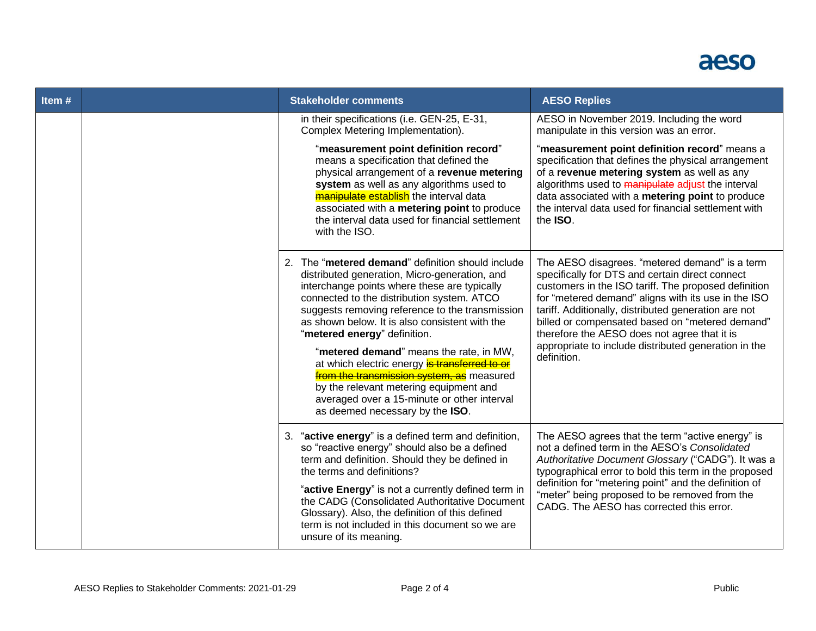

| Item# |                                                                                                                                                                                                                                                                                                                                                                                                                              | <b>Stakeholder comments</b>                                                                                                                                                                                                                                                                                                                                                                                                                                                                                                                                                                                | <b>AESO Replies</b>                                                                                                                                                                                                                                                                                                                                                                                                                                |
|-------|------------------------------------------------------------------------------------------------------------------------------------------------------------------------------------------------------------------------------------------------------------------------------------------------------------------------------------------------------------------------------------------------------------------------------|------------------------------------------------------------------------------------------------------------------------------------------------------------------------------------------------------------------------------------------------------------------------------------------------------------------------------------------------------------------------------------------------------------------------------------------------------------------------------------------------------------------------------------------------------------------------------------------------------------|----------------------------------------------------------------------------------------------------------------------------------------------------------------------------------------------------------------------------------------------------------------------------------------------------------------------------------------------------------------------------------------------------------------------------------------------------|
|       |                                                                                                                                                                                                                                                                                                                                                                                                                              | in their specifications (i.e. GEN-25, E-31,<br>Complex Metering Implementation).                                                                                                                                                                                                                                                                                                                                                                                                                                                                                                                           | AESO in November 2019. Including the word<br>manipulate in this version was an error.                                                                                                                                                                                                                                                                                                                                                              |
|       |                                                                                                                                                                                                                                                                                                                                                                                                                              | "measurement point definition record"<br>means a specification that defined the<br>physical arrangement of a revenue metering<br>system as well as any algorithms used to<br><b>manipulate establish</b> the interval data<br>associated with a metering point to produce<br>the interval data used for financial settlement<br>with the ISO.                                                                                                                                                                                                                                                              | "measurement point definition record" means a<br>specification that defines the physical arrangement<br>of a revenue metering system as well as any<br>algorithms used to manipulate adjust the interval<br>data associated with a metering point to produce<br>the interval data used for financial settlement with<br>the ISO.                                                                                                                   |
|       |                                                                                                                                                                                                                                                                                                                                                                                                                              | 2. The "metered demand" definition should include<br>distributed generation, Micro-generation, and<br>interchange points where these are typically<br>connected to the distribution system. ATCO<br>suggests removing reference to the transmission<br>as shown below. It is also consistent with the<br>"metered energy" definition.<br>"metered demand" means the rate, in MW,<br>at which electric energy is transferred to or<br>from the transmission system, as measured<br>by the relevant metering equipment and<br>averaged over a 15-minute or other interval<br>as deemed necessary by the ISO. | The AESO disagrees. "metered demand" is a term<br>specifically for DTS and certain direct connect<br>customers in the ISO tariff. The proposed definition<br>for "metered demand" aligns with its use in the ISO<br>tariff. Additionally, distributed generation are not<br>billed or compensated based on "metered demand"<br>therefore the AESO does not agree that it is<br>appropriate to include distributed generation in the<br>definition. |
|       | 3. "active energy" is a defined term and definition,<br>so "reactive energy" should also be a defined<br>term and definition. Should they be defined in<br>the terms and definitions?<br>"active Energy" is not a currently defined term in<br>the CADG (Consolidated Authoritative Document<br>Glossary). Also, the definition of this defined<br>term is not included in this document so we are<br>unsure of its meaning. | The AESO agrees that the term "active energy" is<br>not a defined term in the AESO's Consolidated<br>Authoritative Document Glossary ("CADG"). It was a<br>typographical error to bold this term in the proposed<br>definition for "metering point" and the definition of<br>"meter" being proposed to be removed from the<br>CADG. The AESO has corrected this error.                                                                                                                                                                                                                                     |                                                                                                                                                                                                                                                                                                                                                                                                                                                    |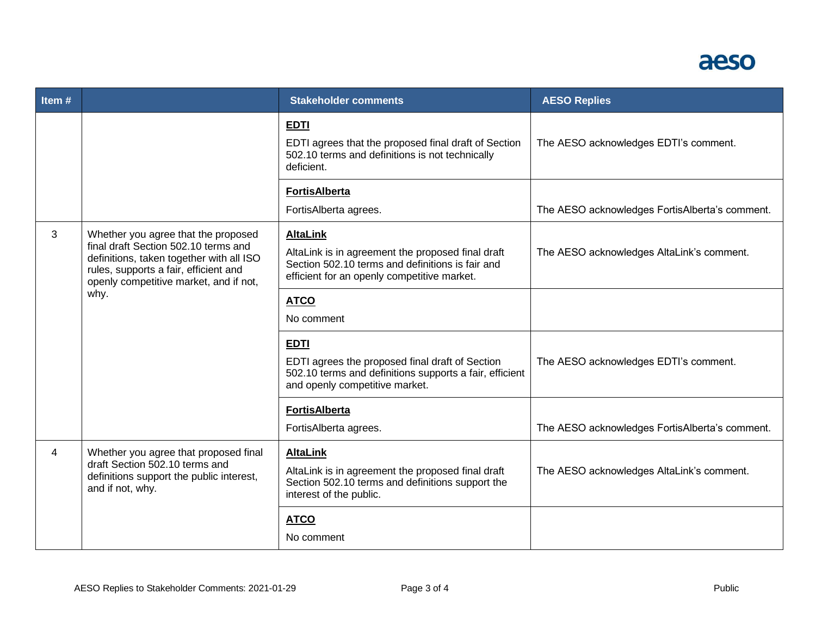

| Item $#$ |                                                                                                                                                                                                            | <b>Stakeholder comments</b>                                                                                                                                             | <b>AESO Replies</b>                            |
|----------|------------------------------------------------------------------------------------------------------------------------------------------------------------------------------------------------------------|-------------------------------------------------------------------------------------------------------------------------------------------------------------------------|------------------------------------------------|
|          |                                                                                                                                                                                                            | <b>EDTI</b><br>EDTI agrees that the proposed final draft of Section<br>502.10 terms and definitions is not technically<br>deficient.                                    | The AESO acknowledges EDTI's comment.          |
|          |                                                                                                                                                                                                            | <b>FortisAlberta</b><br>FortisAlberta agrees.                                                                                                                           | The AESO acknowledges FortisAlberta's comment. |
| 3        | Whether you agree that the proposed<br>final draft Section 502.10 terms and<br>definitions, taken together with all ISO<br>rules, supports a fair, efficient and<br>openly competitive market, and if not, | <b>AltaLink</b><br>AltaLink is in agreement the proposed final draft<br>Section 502.10 terms and definitions is fair and<br>efficient for an openly competitive market. | The AESO acknowledges AltaLink's comment.      |
| why.     | <b>ATCO</b><br>No comment                                                                                                                                                                                  |                                                                                                                                                                         |                                                |
|          |                                                                                                                                                                                                            | <b>EDTI</b><br>EDTI agrees the proposed final draft of Section<br>502.10 terms and definitions supports a fair, efficient<br>and openly competitive market.             | The AESO acknowledges EDTI's comment.          |
|          |                                                                                                                                                                                                            | <b>FortisAlberta</b>                                                                                                                                                    |                                                |
|          |                                                                                                                                                                                                            | FortisAlberta agrees.                                                                                                                                                   | The AESO acknowledges FortisAlberta's comment. |
| 4        | Whether you agree that proposed final<br>draft Section 502.10 terms and<br>definitions support the public interest,<br>and if not, why.                                                                    | <b>AltaLink</b><br>AltaLink is in agreement the proposed final draft<br>Section 502.10 terms and definitions support the<br>interest of the public.                     | The AESO acknowledges AltaLink's comment.      |
|          |                                                                                                                                                                                                            | <b>ATCO</b><br>No comment                                                                                                                                               |                                                |